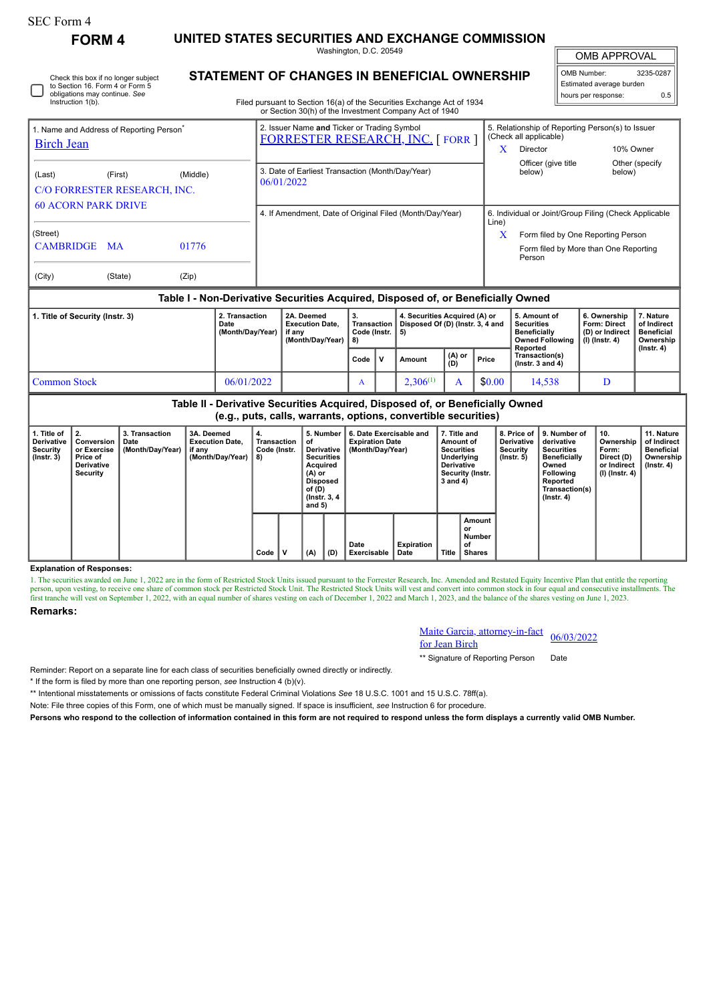**FORM 4 UNITED STATES SECURITIES AND EXCHANGE COMMISSION**

Washington, D.C. 20549 **STATEMENT OF CHANGES IN BENEFICIAL OWNERSHIP**

OMB APPROVAL

 $\mathbb{I}$ 

| OMB Number:              | 3235-0287 |  |  |  |  |  |  |  |
|--------------------------|-----------|--|--|--|--|--|--|--|
| Estimated average burden |           |  |  |  |  |  |  |  |
| hours per response:      | . Б.      |  |  |  |  |  |  |  |

| Instruction 1(b).                                                         |                                                     |       | Filed pursuant to Section 16(a) of the Securities Exchange Act of 1934                 |       |                                                       |                                                  |                                       |  |  |  |  |
|---------------------------------------------------------------------------|-----------------------------------------------------|-------|----------------------------------------------------------------------------------------|-------|-------------------------------------------------------|--------------------------------------------------|---------------------------------------|--|--|--|--|
|                                                                           |                                                     |       | or Section 30(h) of the Investment Company Act of 1940                                 |       |                                                       |                                                  |                                       |  |  |  |  |
| 1. Name and Address of Reporting Person <sup>®</sup><br><b>Birch Jean</b> |                                                     |       | 2. Issuer Name and Ticker or Trading Symbol<br><b>FORRESTER RESEARCH, INC. [FORR ]</b> |       | (Check all applicable)                                | 5. Relationship of Reporting Person(s) to Issuer |                                       |  |  |  |  |
|                                                                           |                                                     |       |                                                                                        |       | Director                                              |                                                  | 10% Owner                             |  |  |  |  |
| (Last)                                                                    | (Middle)<br>(First)<br>C/O FORRESTER RESEARCH, INC. |       | 3. Date of Earliest Transaction (Month/Day/Year)<br>06/01/2022                         |       | Officer (give title<br>below)                         |                                                  | Other (specify)<br>below)             |  |  |  |  |
| <b>60 ACORN PARK DRIVE</b>                                                |                                                     |       | 4. If Amendment, Date of Original Filed (Month/Day/Year)                               |       |                                                       |                                                  |                                       |  |  |  |  |
|                                                                           |                                                     |       |                                                                                        | Line) | 6. Individual or Joint/Group Filing (Check Applicable |                                                  |                                       |  |  |  |  |
| (Street)                                                                  |                                                     |       |                                                                                        |       | Form filed by One Reporting Person                    |                                                  |                                       |  |  |  |  |
| <b>CAMBRIDGE</b>                                                          | <b>MA</b>                                           | 01776 |                                                                                        |       | Person                                                |                                                  | Form filed by More than One Reporting |  |  |  |  |
| (City)                                                                    | (State)                                             | (Zip) |                                                                                        |       |                                                       |                                                  |                                       |  |  |  |  |
|                                                                           |                                                     |       | Table L- Non-Derivative Securities Acquired, Disposed of, or Beneficially Owned        |       |                                                       |                                                  |                                       |  |  |  |  |

## **Table I - Non-Derivative Securities Acquired, Disposed of, or Beneficially Owned**

| 1. Title of Security (Instr. 3) | 2. Transaction<br>Date<br>(Month/Day/Year) | 2A. Deemed<br><b>Execution Date.</b><br>∣ if anv<br>(Month/Dav/Year) | З.<br>i Transaction ∐<br>Code (Instr.   5)<br>່ 8) |    | 4. Securities Acquired (A) or<br>Disposed Of (D) (Instr. 3, 4 and |               |        | 5. Amount of<br><b>Securities</b><br><b>Beneficially</b><br>Owned Following   (I) (Instr. 4)<br>Reported | 6. Ownership<br><b>Form: Direct</b><br>(D) or Indirect | . Nature<br>of Indirect<br>Beneficial<br>Ownership<br>$($ lnstr. 4 $)$ |
|---------------------------------|--------------------------------------------|----------------------------------------------------------------------|----------------------------------------------------|----|-------------------------------------------------------------------|---------------|--------|----------------------------------------------------------------------------------------------------------|--------------------------------------------------------|------------------------------------------------------------------------|
|                                 |                                            |                                                                      | Code                                               | ۱v | Amount                                                            | (A) or<br>(D) | Price  | Transaction(s)<br>( $lnstr.$ 3 and 4)                                                                    |                                                        |                                                                        |
| Common Stock                    | 06/01/2022                                 |                                                                      | $\mathbf{r}$                                       |    | $2.306^{(1)}$                                                     |               | \$0.00 | 14.538                                                                                                   |                                                        |                                                                        |

| Table II - Derivative Securities Acquired, Disposed of, or Beneficially Owned<br>(e.g., puts, calls, warrants, options, convertible securities) |                                                                              |                                            |                                                                    |                                         |  |                                                                                                                                      |     |                                                                       |                    |                                                                                                                   |                                        |                                                                  |                                                                                                                                         |                                                                            |                                                                                 |
|-------------------------------------------------------------------------------------------------------------------------------------------------|------------------------------------------------------------------------------|--------------------------------------------|--------------------------------------------------------------------|-----------------------------------------|--|--------------------------------------------------------------------------------------------------------------------------------------|-----|-----------------------------------------------------------------------|--------------------|-------------------------------------------------------------------------------------------------------------------|----------------------------------------|------------------------------------------------------------------|-----------------------------------------------------------------------------------------------------------------------------------------|----------------------------------------------------------------------------|---------------------------------------------------------------------------------|
| 1. Title of<br><b>Derivative</b><br>Security<br>$($ lnstr. 3 $)$                                                                                | 2.<br>Conversion<br>or Exercise<br>Price of<br><b>Derivative</b><br>Security | 3. Transaction<br>Date<br>(Month/Day/Year) | 3A. Deemed<br><b>Execution Date.</b><br>if any<br>(Month/Day/Year) | 4.<br>Transaction<br>Code (Instr.<br>8) |  | 5. Number<br>оf<br>Derivative<br><b>Securities</b><br>Acquired<br>$(A)$ or<br><b>Disposed</b><br>of (D)<br>(Instr. 3, 4)<br>and $5)$ |     | 6. Date Exercisable and<br><b>Expiration Date</b><br>(Month/Day/Year) |                    | 7. Title and<br>Amount of<br><b>Securities</b><br>Underlying<br><b>Derivative</b><br>Security (Instr.<br>3 and 4) |                                        | 8. Price of<br><b>Derivative</b><br>Security<br>$($ lnstr. 5 $)$ | 9. Number of<br>derivative<br>Securities<br><b>Beneficially</b><br>Owned<br>Following<br>Reported<br>Transaction(s)<br>$($ Instr. 4 $)$ | 10.<br>Ownership<br>Form:<br>Direct (D)<br>or Indirect<br>  (I) (Instr. 4) | 11. Nature<br>of Indirect<br><b>Beneficial</b><br>Ownership<br>$($ lnstr. 4 $)$ |
|                                                                                                                                                 |                                                                              |                                            |                                                                    | Code                                    |  | (A)                                                                                                                                  | (D) | Date<br>Exercisable                                                   | Expiration<br>Date | Title                                                                                                             | Amount<br>or<br>Number<br>of<br>Shares |                                                                  |                                                                                                                                         |                                                                            |                                                                                 |

### **Explanation of Responses:**

1. The securities awarded on June 1, 2022 are in the form of Restricted Stock Units issued pursuant to the Forrester Research, Inc. Amended and Restated Equity Incentive Plan that entitle the reporting<br>person, upon vesting

# **Remarks:**

Maite Garcia, attorney-in-fact <u>Maite Garcia, attorney-in-ract</u> 06/03/2022<br>for Jean Birch

\*\* Signature of Reporting Person Date

Reminder: Report on a separate line for each class of securities beneficially owned directly or indirectly.

\* If the form is filed by more than one reporting person, *see* Instruction 4 (b)(v).

\*\* Intentional misstatements or omissions of facts constitute Federal Criminal Violations *See* 18 U.S.C. 1001 and 15 U.S.C. 78ff(a).

Note: File three copies of this Form, one of which must be manually signed. If space is insufficient, *see* Instruction 6 for procedure.

**Persons who respond to the collection of information contained in this form are not required to respond unless the form displays a currently valid OMB Number.**

Check this box if no longer subject to Section 16. Form 4 or Form 5 obligations may continue. *See*